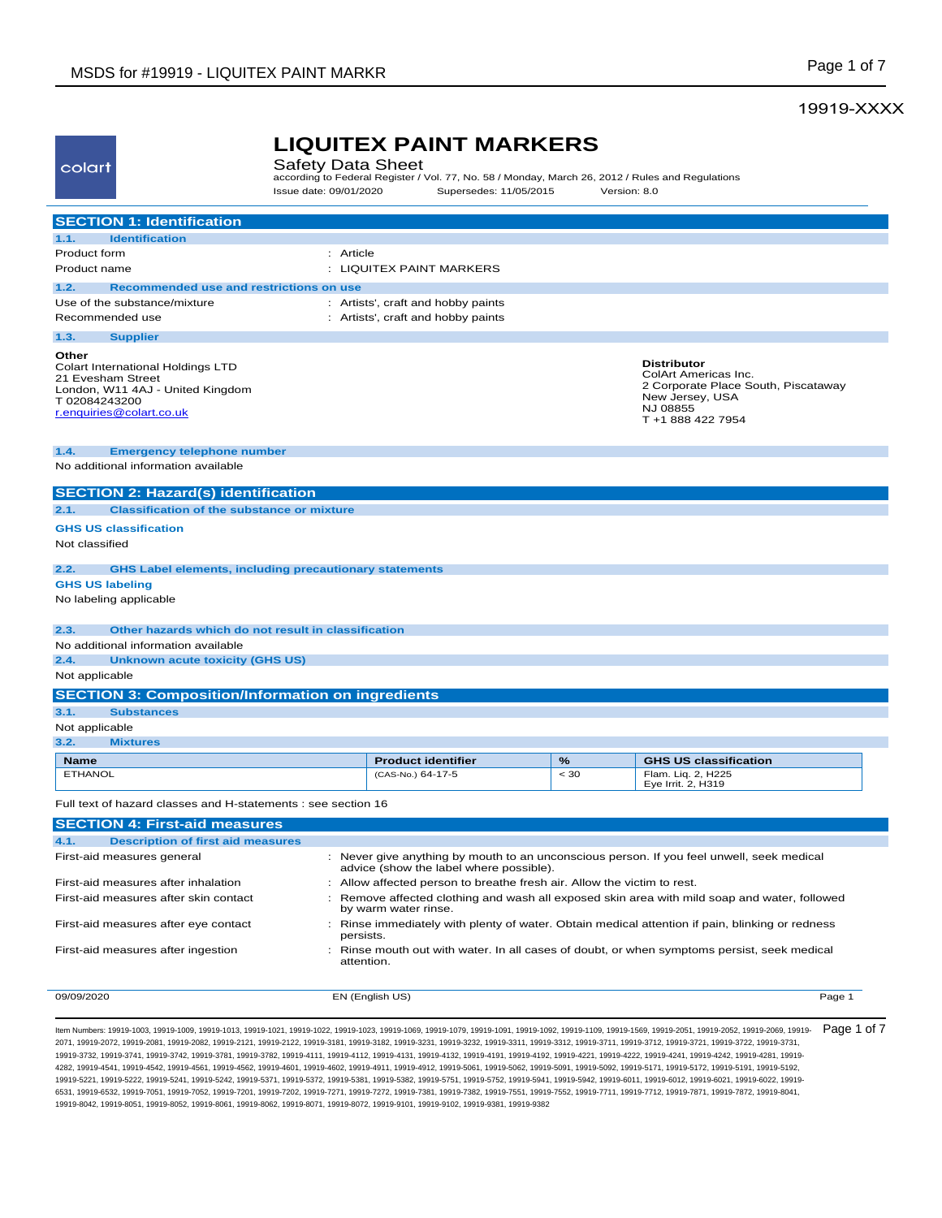## 19919-XXXX

| colart                 |                                                                                                                        | <b>Safety Data Sheet</b> | <b>LIQUITEX PAINT MARKERS</b><br>according to Federal Register / Vol. 77, No. 58 / Monday, March 26, 2012 / Rules and Regulations |      |                                                                                                                                       |
|------------------------|------------------------------------------------------------------------------------------------------------------------|--------------------------|-----------------------------------------------------------------------------------------------------------------------------------|------|---------------------------------------------------------------------------------------------------------------------------------------|
|                        |                                                                                                                        | Issue date: 09/01/2020   | Supersedes: 11/05/2015                                                                                                            |      | Version: 8.0                                                                                                                          |
|                        | <b>SECTION 1: Identification</b>                                                                                       |                          |                                                                                                                                   |      |                                                                                                                                       |
| 1.1.                   | <b>Identification</b>                                                                                                  |                          |                                                                                                                                   |      |                                                                                                                                       |
| Product form           |                                                                                                                        | : Article                |                                                                                                                                   |      |                                                                                                                                       |
| Product name           |                                                                                                                        |                          | : LIQUITEX PAINT MARKERS                                                                                                          |      |                                                                                                                                       |
| 1.2.                   | Recommended use and restrictions on use                                                                                |                          |                                                                                                                                   |      |                                                                                                                                       |
|                        | Use of the substance/mixture                                                                                           |                          | : Artists', craft and hobby paints                                                                                                |      |                                                                                                                                       |
|                        | Recommended use                                                                                                        |                          | : Artists', craft and hobby paints                                                                                                |      |                                                                                                                                       |
| 1.3.                   | <b>Supplier</b>                                                                                                        |                          |                                                                                                                                   |      |                                                                                                                                       |
| Other<br>T 02084243200 | Colart International Holdings LTD<br>21 Evesham Street<br>London, W11 4AJ - United Kingdom<br>r.enquiries@colart.co.uk |                          |                                                                                                                                   |      | <b>Distributor</b><br>ColArt Americas Inc.<br>2 Corporate Place South, Piscataway<br>New Jersey, USA<br>NJ 08855<br>T +1 888 422 7954 |
|                        | <b>Emergency telephone number</b>                                                                                      |                          |                                                                                                                                   |      |                                                                                                                                       |
| 1.4.                   | No additional information available                                                                                    |                          |                                                                                                                                   |      |                                                                                                                                       |
|                        |                                                                                                                        |                          |                                                                                                                                   |      |                                                                                                                                       |
|                        | <b>SECTION 2: Hazard(s) identification</b>                                                                             |                          |                                                                                                                                   |      |                                                                                                                                       |
| 2.1.                   | <b>Classification of the substance or mixture</b>                                                                      |                          |                                                                                                                                   |      |                                                                                                                                       |
|                        | <b>GHS US classification</b>                                                                                           |                          |                                                                                                                                   |      |                                                                                                                                       |
| Not classified         |                                                                                                                        |                          |                                                                                                                                   |      |                                                                                                                                       |
| 2.2.                   | <b>GHS Label elements, including precautionary statements</b>                                                          |                          |                                                                                                                                   |      |                                                                                                                                       |
| <b>GHS US labeling</b> |                                                                                                                        |                          |                                                                                                                                   |      |                                                                                                                                       |
|                        | No labeling applicable                                                                                                 |                          |                                                                                                                                   |      |                                                                                                                                       |
| 2.3.                   | Other hazards which do not result in classification                                                                    |                          |                                                                                                                                   |      |                                                                                                                                       |
|                        | No additional information available                                                                                    |                          |                                                                                                                                   |      |                                                                                                                                       |
| 2.4.                   | <b>Unknown acute toxicity (GHS US)</b>                                                                                 |                          |                                                                                                                                   |      |                                                                                                                                       |
| Not applicable         |                                                                                                                        |                          |                                                                                                                                   |      |                                                                                                                                       |
|                        | <b>SECTION 3: Composition/Information on ingredients</b>                                                               |                          |                                                                                                                                   |      |                                                                                                                                       |
| 3.1.                   | <b>Substances</b>                                                                                                      |                          |                                                                                                                                   |      |                                                                                                                                       |
| Not applicable         |                                                                                                                        |                          |                                                                                                                                   |      |                                                                                                                                       |
| 3.2.                   | <b>Mixtures</b>                                                                                                        |                          |                                                                                                                                   |      |                                                                                                                                       |
| <b>Name</b>            |                                                                                                                        |                          | <b>Product identifier</b>                                                                                                         | %    | <b>GHS US classification</b>                                                                                                          |
| <b>ETHANOL</b>         |                                                                                                                        |                          | (CAS-No.) 64-17-5                                                                                                                 | < 30 | Flam. Liq. 2, H225<br>Eye Irrit. 2, H319                                                                                              |
|                        | Full text of hazard classes and H-statements : see section 16                                                          |                          |                                                                                                                                   |      |                                                                                                                                       |
|                        | <b>SECTION 4: First-aid measures</b>                                                                                   |                          |                                                                                                                                   |      |                                                                                                                                       |
| 4.1.                   | <b>Description of first aid measures</b>                                                                               |                          |                                                                                                                                   |      |                                                                                                                                       |
|                        | First-aid measures general                                                                                             |                          | advice (show the label where possible).                                                                                           |      | : Never give anything by mouth to an unconscious person. If you feel unwell, seek medical                                             |
|                        | First-aid measures after inhalation                                                                                    |                          | : Allow affected person to breathe fresh air. Allow the victim to rest.                                                           |      |                                                                                                                                       |
|                        | First-aid measures after skin contact                                                                                  |                          | by warm water rinse.                                                                                                              |      | Remove affected clothing and wash all exposed skin area with mild soap and water, followed                                            |
|                        | First-aid measures after eye contact                                                                                   | persists.                |                                                                                                                                   |      | : Rinse immediately with plenty of water. Obtain medical attention if pain, blinking or redness                                       |
|                        | First-aid measures after ingestion                                                                                     | attention.               |                                                                                                                                   |      | : Rinse mouth out with water. In all cases of doubt, or when symptoms persist, seek medical                                           |
| 09/09/2020             |                                                                                                                        |                          | EN (English US)                                                                                                                   |      | Page 1                                                                                                                                |

ltem Numbers: 19919-1003, 19919-1009, 19919-1013, 19919-1021, 19919-1023, 19919-1069, 19919-1079, 19919-1091, 19919-1091, 19919-1109, 19919-2051, 19919-2051, 19919-2052, 19919-2050, 19919-2069, 19919-2069, 19919-2052, 1991 2071, 19919-2072, 19919-2081, 19919-2082, 19919-2121, 19919-2122, 19919-3181, 19919-3182, 19919-3231, 19919-3232, 19919-3311, 19919-3312, 19919-3711, 19919-3712, 19919-3721, 19919-3722, 19919-3731, 19919-3732, 19919-3741, 19919-3742, 19919-3781, 19919-3782, 19919-4111, 19919-4112, 19919-4131, 19919-4132, 19919-4191, 19919-4192, 19919-4221, 19919-4222, 19919-4241, 19919-4242, 19919-4281, 19919- 4282, 19919-4541, 19919-4542, 19919-4561, 19919-4562, 19919-4601, 19919-4602, 19919-4911, 19919-4912, 19919-5061, 19919-5062, 19919-5091, 19919-5092, 19919-5171, 19919-5172, 19919-5191, 19919-5192, 19919-5221, 19919-5222, 19919-5241, 19919-5242, 19919-5371, 19919-5372, 19919-5381, 19919-5382, 19919-5751, 19919-5752, 19919-5941, 19919-5942, 19919-6011, 19919-6012, 19919-6021, 19919-6022, 19919- 6531, 19919-6532, 19919-7051, 19919-7052, 19919-7201, 19919-7202, 19919-7271, 19919-7272, 19919-7381, 19919-7382, 19919-7551, 19919-7552, 19919-7711, 19919-7712, 19919-7871, 19919-7872, 19919-8041, 19919-8042, 19919-8051, 19919-8052, 19919-8061, 19919-8062, 19919-8071, 19919-8072, 19919-9101, 19919-9102, 19919-9381, 19919-9382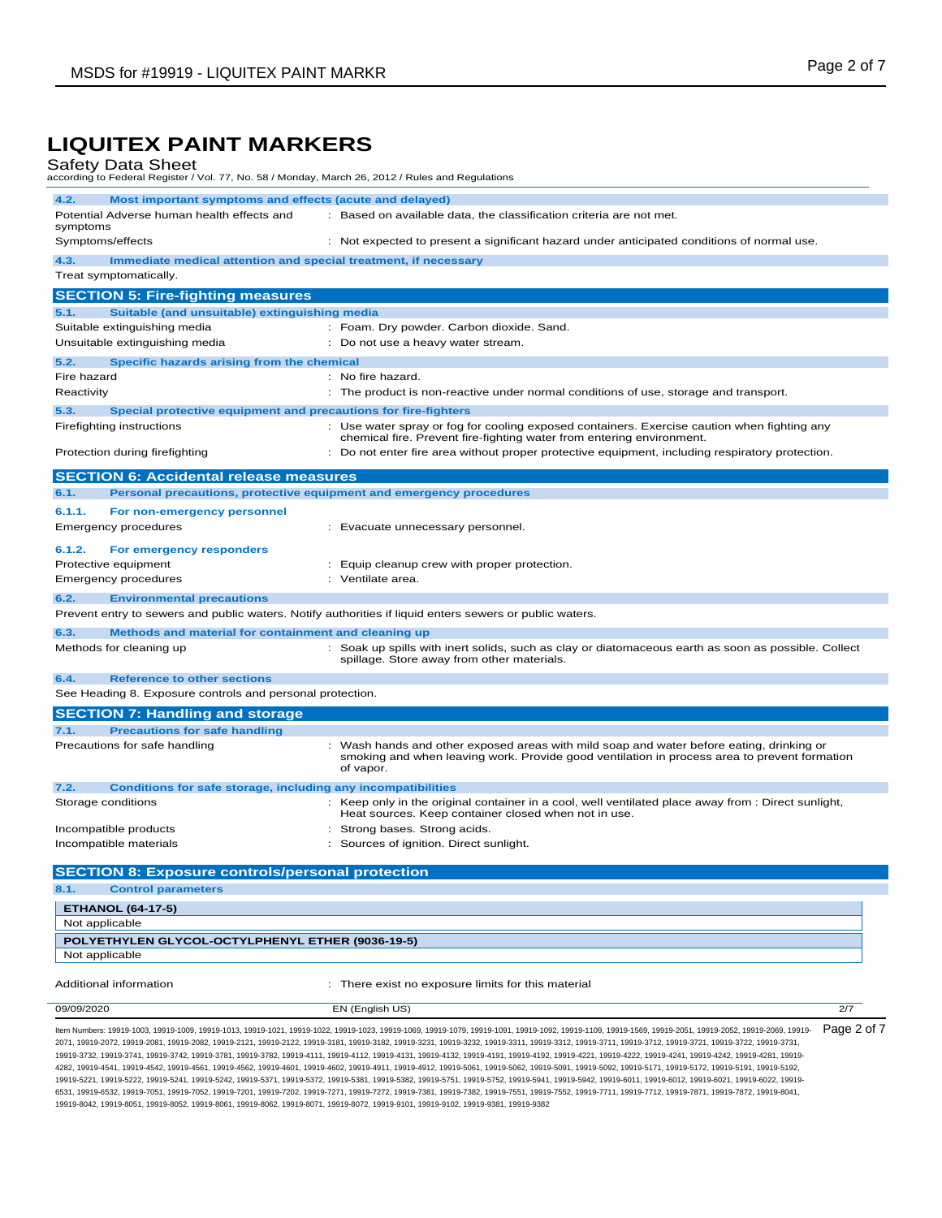| Safety Data Sheet<br>according to Federal Register / Vol. 77, No. 58 / Monday, March 26, 2012 / Rules and Regulations |                                                                                                                                                                                                       |  |  |
|-----------------------------------------------------------------------------------------------------------------------|-------------------------------------------------------------------------------------------------------------------------------------------------------------------------------------------------------|--|--|
| 4.2.<br>Most important symptoms and effects (acute and delayed)                                                       |                                                                                                                                                                                                       |  |  |
| Potential Adverse human health effects and<br>symptoms                                                                | : Based on available data, the classification criteria are not met.                                                                                                                                   |  |  |
| Symptoms/effects                                                                                                      | : Not expected to present a significant hazard under anticipated conditions of normal use.                                                                                                            |  |  |
| 4.3.<br>Immediate medical attention and special treatment, if necessary<br>Treat symptomatically.                     |                                                                                                                                                                                                       |  |  |
|                                                                                                                       |                                                                                                                                                                                                       |  |  |
| <b>SECTION 5: Fire-fighting measures</b>                                                                              |                                                                                                                                                                                                       |  |  |
| Suitable (and unsuitable) extinguishing media<br>5.1.                                                                 |                                                                                                                                                                                                       |  |  |
| Suitable extinguishing media                                                                                          | : Foam. Dry powder. Carbon dioxide. Sand.<br>: Do not use a heavy water stream.                                                                                                                       |  |  |
| Unsuitable extinguishing media                                                                                        |                                                                                                                                                                                                       |  |  |
| 5.2.<br>Specific hazards arising from the chemical                                                                    |                                                                                                                                                                                                       |  |  |
| Fire hazard                                                                                                           | : No fire hazard.                                                                                                                                                                                     |  |  |
| Reactivity                                                                                                            | : The product is non-reactive under normal conditions of use, storage and transport.                                                                                                                  |  |  |
| 5.3.<br>Special protective equipment and precautions for fire-fighters                                                |                                                                                                                                                                                                       |  |  |
| Firefighting instructions                                                                                             | : Use water spray or fog for cooling exposed containers. Exercise caution when fighting any<br>chemical fire. Prevent fire-fighting water from entering environment.                                  |  |  |
| Protection during firefighting                                                                                        | : Do not enter fire area without proper protective equipment, including respiratory protection.                                                                                                       |  |  |
| <b>SECTION 6: Accidental release measures</b>                                                                         |                                                                                                                                                                                                       |  |  |
| Personal precautions, protective equipment and emergency procedures<br>6.1.                                           |                                                                                                                                                                                                       |  |  |
| 6.1.1.<br>For non-emergency personnel                                                                                 |                                                                                                                                                                                                       |  |  |
| <b>Emergency procedures</b>                                                                                           | : Evacuate unnecessary personnel.                                                                                                                                                                     |  |  |
| 6.1.2.<br>For emergency responders                                                                                    |                                                                                                                                                                                                       |  |  |
| Protective equipment                                                                                                  | : Equip cleanup crew with proper protection.                                                                                                                                                          |  |  |
| Emergency procedures                                                                                                  | : Ventilate area.                                                                                                                                                                                     |  |  |
| 6.2.<br><b>Environmental precautions</b>                                                                              |                                                                                                                                                                                                       |  |  |
| Prevent entry to sewers and public waters. Notify authorities if liquid enters sewers or public waters.               |                                                                                                                                                                                                       |  |  |
| 6.3.<br>Methods and material for containment and cleaning up                                                          |                                                                                                                                                                                                       |  |  |
| Methods for cleaning up                                                                                               | : Soak up spills with inert solids, such as clay or diatomaceous earth as soon as possible. Collect<br>spillage. Store away from other materials.                                                     |  |  |
| 6.4.<br><b>Reference to other sections</b>                                                                            |                                                                                                                                                                                                       |  |  |
| See Heading 8. Exposure controls and personal protection.                                                             |                                                                                                                                                                                                       |  |  |
| <b>SECTION 7: Handling and storage</b>                                                                                |                                                                                                                                                                                                       |  |  |
| 7.1.<br><b>Precautions for safe handling</b>                                                                          |                                                                                                                                                                                                       |  |  |
| Precautions for safe handling                                                                                         | : Wash hands and other exposed areas with mild soap and water before eating, drinking or<br>smoking and when leaving work. Provide good ventilation in process area to prevent formation<br>of vapor. |  |  |
| 7.2.<br>Conditions for safe storage, including any incompatibilities                                                  |                                                                                                                                                                                                       |  |  |
| Storage conditions                                                                                                    | : Keep only in the original container in a cool, well ventilated place away from : Direct sunlight,<br>Heat sources. Keep container closed when not in use.                                           |  |  |
| Incompatible products                                                                                                 | : Strong bases. Strong acids.                                                                                                                                                                         |  |  |
| Incompatible materials                                                                                                | Sources of ignition. Direct sunlight.                                                                                                                                                                 |  |  |
| <b>SECTION 8: Exposure controls/personal protection</b>                                                               |                                                                                                                                                                                                       |  |  |
| 8.1.<br><b>Control parameters</b>                                                                                     |                                                                                                                                                                                                       |  |  |
| <b>ETHANOL (64-17-5)</b>                                                                                              |                                                                                                                                                                                                       |  |  |
| Not applicable                                                                                                        |                                                                                                                                                                                                       |  |  |
| POLYETHYLEN GLYCOL-OCTYLPHENYL ETHER (9036-19-5)                                                                      |                                                                                                                                                                                                       |  |  |
| Not applicable                                                                                                        |                                                                                                                                                                                                       |  |  |
| Additional information                                                                                                | : There exist no exposure limits for this material                                                                                                                                                    |  |  |
| 09/09/2020                                                                                                            | EN (English US)<br>2/7                                                                                                                                                                                |  |  |
|                                                                                                                       |                                                                                                                                                                                                       |  |  |

ltem Numbers: 19919-1003, 19919-1009, 19919-1013, 19919-1021, 19919-1023, 19919-1069, 19919-1079, 19919-1091, 19919-1091, 19919-1109, 19919-2058, 19919-2051, 19919-2052, 19919-2050, 19919-2069, 19919-2069, 19919-2052, 1991 2071, 19919-2072, 19919-2081, 19919-2082, 19919-2121, 19919-2122, 19919-3181, 19919-3182, 19919-3231, 19919-3232, 19919-3311, 19919-3312, 19919-3711, 19919-3712, 19919-3721, 19919-3722, 19919-3731, 19919-3732, 19919-3741, 19919-3742, 19919-3781, 19919-3782, 19919-4111, 19919-4112, 19919-4131, 19919-4132, 19919-4191, 19919-4192, 19919-4221, 19919-4222, 19919-4241, 19919-4242, 19919-4281, 19919- 4282, 19919-4541, 19919-4542, 19919-4561, 19919-4562, 19919-4601, 19919-4602, 19919-4911, 19919-4912, 19919-5061, 19919-5062, 19919-5091, 19919-5092, 19919-5171, 19919-5172, 19919-5191, 19919-5192, 19919-5221, 19919-5222, 19919-5241, 19919-5242, 19919-5371, 19919-5372, 19919-5381, 19919-5382, 19919-5751, 19919-5752, 19919-5941, 19919-5942, 19919-6011, 19919-6012, 19919-6021, 19919-6022, 19919- 6531, 19919-6532, 19919-7051, 19919-7052, 19919-7201, 19919-7202, 19919-7271, 19919-7272, 19919-7381, 19919-7382, 19919-7551, 19919-7552, 19919-7711, 19919-7712, 19919-7871, 19919-7872, 19919-8041, 19919-8042, 19919-8051, 19919-8052, 19919-8061, 19919-8062, 19919-8071, 19919-8072, 19919-9101, 19919-9102, 19919-9381, 19919-9382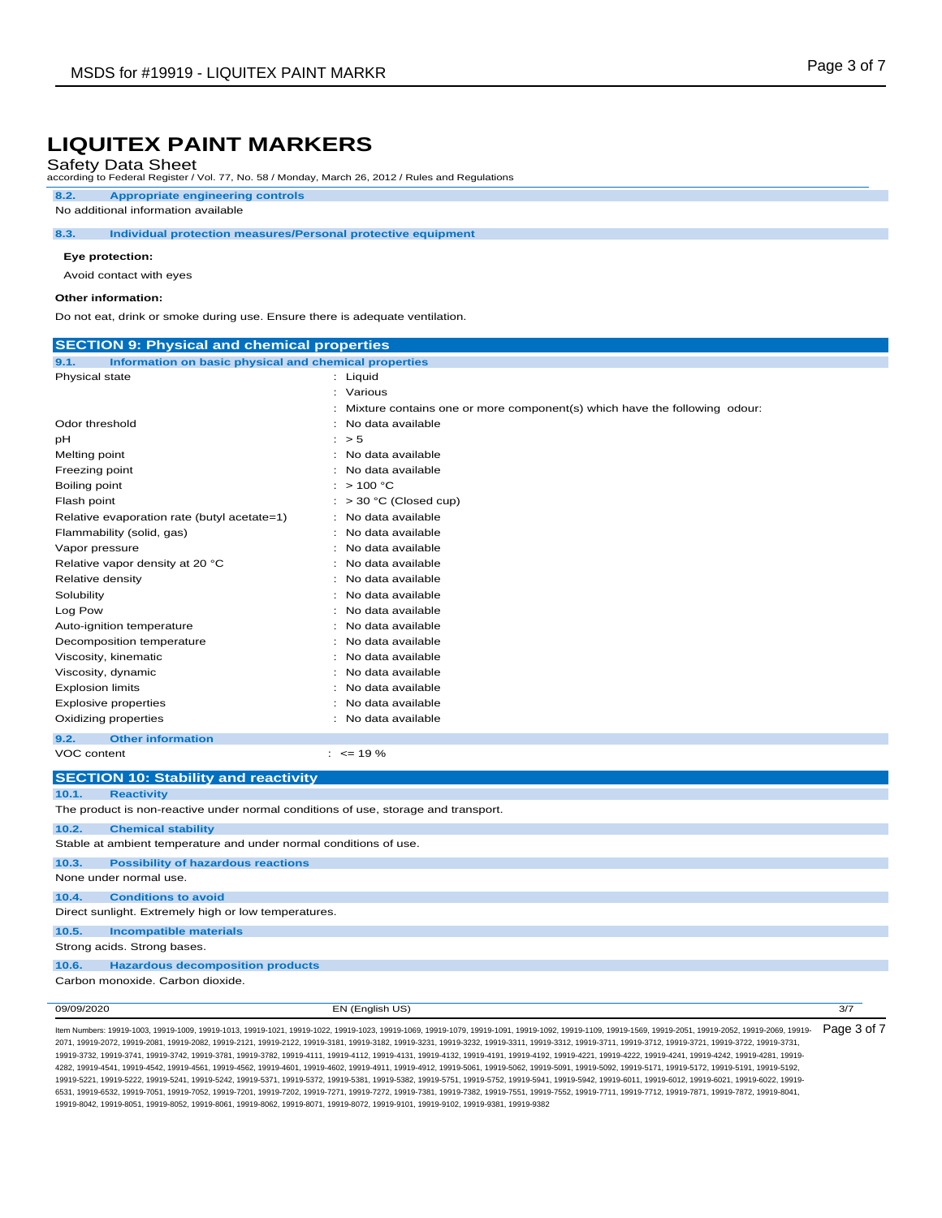## Safety Data Sheet

according to Federal Register / Vol. 77, No. 58 / Monday, March 26, 2012 / Rules and Regulations

#### **8.2. Appropriate engineering controls**

No additional information available

#### **8.3. Individual protection measures/Personal protective equipment**

#### **Eye protection:**

Avoid contact with eyes

#### **Other information:**

Do not eat, drink or smoke during use. Ensure there is adequate ventilation.

| <b>SECTION 9: Physical and chemical properties</b>                                 |                                                                                |  |  |
|------------------------------------------------------------------------------------|--------------------------------------------------------------------------------|--|--|
| Information on basic physical and chemical properties<br>9.1.                      |                                                                                |  |  |
| Physical state                                                                     | : Liquid                                                                       |  |  |
|                                                                                    | : Various                                                                      |  |  |
|                                                                                    | ÷<br>Mixture contains one or more component(s) which have the following odour: |  |  |
| Odor threshold                                                                     | No data available                                                              |  |  |
| pН                                                                                 | : > 5                                                                          |  |  |
| Melting point                                                                      | No data available                                                              |  |  |
| Freezing point                                                                     | No data available                                                              |  |  |
| Boiling point                                                                      | >100 °C<br>÷                                                                   |  |  |
| Flash point                                                                        | > 30 °C (Closed cup)                                                           |  |  |
| Relative evaporation rate (butyl acetate=1)                                        | No data available                                                              |  |  |
| Flammability (solid, gas)                                                          | No data available<br>$\cdot$                                                   |  |  |
| Vapor pressure                                                                     | No data available                                                              |  |  |
| Relative vapor density at 20 °C                                                    | No data available<br>٠                                                         |  |  |
| Relative density                                                                   | No data available                                                              |  |  |
| Solubility                                                                         | No data available                                                              |  |  |
| Log Pow                                                                            | No data available                                                              |  |  |
| Auto-ignition temperature                                                          | No data available                                                              |  |  |
| Decomposition temperature                                                          | No data available<br>$\cdot$                                                   |  |  |
| Viscosity, kinematic                                                               | No data available                                                              |  |  |
| Viscosity, dynamic                                                                 | No data available                                                              |  |  |
| <b>Explosion limits</b>                                                            | No data available                                                              |  |  |
| <b>Explosive properties</b>                                                        | No data available                                                              |  |  |
| Oxidizing properties                                                               | No data available                                                              |  |  |
| 9.2.<br><b>Other information</b>                                                   |                                                                                |  |  |
| VOC content                                                                        | $: \le$ 19 %                                                                   |  |  |
| <b>SECTION 10: Stability and reactivity</b>                                        |                                                                                |  |  |
| 10.1.<br><b>Reactivity</b>                                                         |                                                                                |  |  |
| The product is non-reactive under normal conditions of use, storage and transport. |                                                                                |  |  |
| 10.2.<br><b>Chemical stability</b>                                                 |                                                                                |  |  |
| Stable at ambient temperature and under normal conditions of use.                  |                                                                                |  |  |
| 10.3.<br><b>Possibility of hazardous reactions</b>                                 |                                                                                |  |  |
| None under normal use.                                                             |                                                                                |  |  |
| <b>Conditions to avoid</b><br>10.4.                                                |                                                                                |  |  |
| Direct sunlight. Extremely high or low temperatures.                               |                                                                                |  |  |
| <b>Incompatible materials</b><br>10.5.                                             |                                                                                |  |  |
| Strong acids. Strong bases.                                                        |                                                                                |  |  |
| <b>Hazardous decomposition products</b><br>10.6.                                   |                                                                                |  |  |
| Carbon monoxide. Carbon dioxide.                                                   |                                                                                |  |  |
| 09/09/2020                                                                         | EN (English US)<br>3/7                                                         |  |  |
|                                                                                    |                                                                                |  |  |

ltem Numbers: 19919-1003, 19919-1009, 19919-1013, 19919-1021, 19919-1023, 19919-1069, 19919-1079, 19919-1091, 19919-1091, 19919-1109, 19919-2051, 19919-2051, 19919-2052, 19919-2050, 19919-2069, 19919-2069, 19919-2052, 1991 2071, 19919-2072, 19919-2081, 19919-2082, 19919-2121, 19919-2122, 19919-3181, 19919-3182, 19919-3231, 19919-3232, 19919-3311, 19919-3312, 19919-3711, 19919-3712, 19919-3721, 19919-3722, 19919-3731, 19919-3732, 19919-3741, 19919-3742, 19919-3781, 19919-3782, 19919-4111, 19919-4112, 19919-4131, 19919-4132, 19919-4191, 19919-4192, 19919-4221, 19919-4222, 19919-4241, 19919-4242, 19919-4281, 19919- 4282, 19919-4541, 19919-4542, 19919-4561, 19919-4562, 19919-4601, 19919-4602, 19919-4911, 19919-4912, 19919-5061, 19919-5062, 19919-5091, 19919-5092, 19919-5171, 19919-5172, 19919-5191, 19919-5192, 19919-5221, 19919-5222, 19919-5241, 19919-5242, 19919-5371, 19919-5372, 19919-5381, 19919-5382, 19919-5751, 19919-5752, 19919-5941, 19919-5942, 19919-6011, 19919-6012, 19919-6021, 19919-6022, 19919- 6531, 19919-6532, 19919-7051, 19919-7052, 19919-7201, 19919-7202, 19919-7271, 19919-7272, 19919-7381, 19919-7382, 19919-7551, 19919-7552, 19919-7711, 19919-7712, 19919-7871, 19919-7872, 19919-8041, 19919-8042, 19919-8051, 19919-8052, 19919-8061, 19919-8062, 19919-8071, 19919-8072, 19919-9101, 19919-9102, 19919-9381, 19919-9382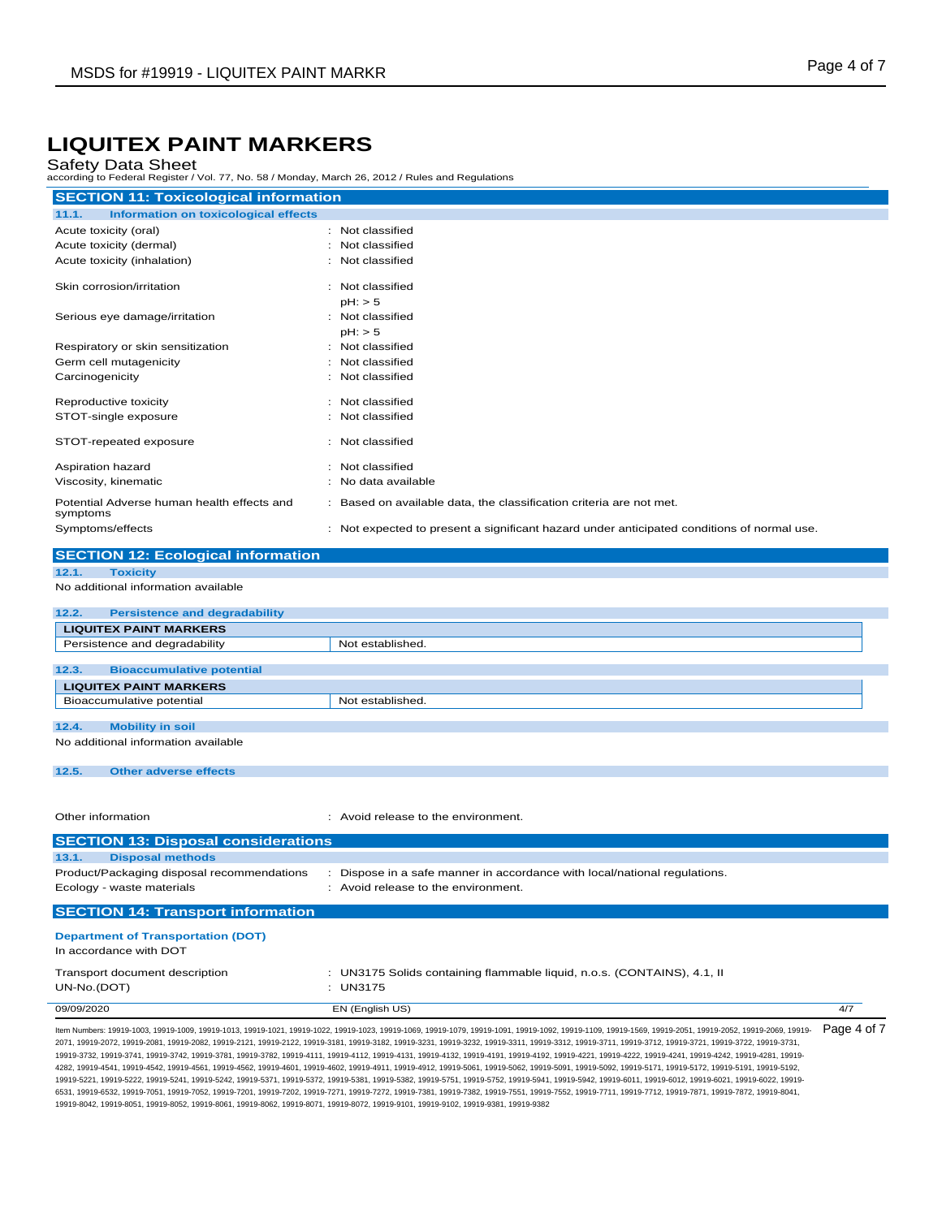### Safety Data Sheet

according to Federal Register / Vol. 77, No. 58 / Monday, March 26, 2012 / Rules and Regulations

| <b>SECTION 11: Toxicological information</b>           |                                                                                            |  |
|--------------------------------------------------------|--------------------------------------------------------------------------------------------|--|
| 11.1.<br>Information on toxicological effects          |                                                                                            |  |
| Acute toxicity (oral)                                  | : Not classified                                                                           |  |
| Acute toxicity (dermal)                                | Not classified                                                                             |  |
| Acute toxicity (inhalation)                            | : Not classified                                                                           |  |
| Skin corrosion/irritation                              | Not classified                                                                             |  |
|                                                        | $pH:$ > 5                                                                                  |  |
| Serious eye damage/irritation                          | : Not classified                                                                           |  |
|                                                        | $pH:$ > 5                                                                                  |  |
| Respiratory or skin sensitization                      | Not classified                                                                             |  |
| Germ cell mutagenicity                                 | Not classified                                                                             |  |
| Carcinogenicity                                        | : Not classified                                                                           |  |
| Reproductive toxicity                                  | : Not classified                                                                           |  |
| STOT-single exposure                                   | : Not classified                                                                           |  |
| STOT-repeated exposure                                 | : Not classified                                                                           |  |
| Aspiration hazard                                      | Not classified                                                                             |  |
| Viscosity, kinematic                                   | No data available                                                                          |  |
| Potential Adverse human health effects and<br>symptoms | : Based on available data, the classification criteria are not met.                        |  |
| Symptoms/effects                                       | : Not expected to present a significant hazard under anticipated conditions of normal use. |  |
| <b>SECTION 12: Ecological information</b>              |                                                                                            |  |
| 12.1.<br><b>Toxicity</b>                               |                                                                                            |  |
| No additional information available                    |                                                                                            |  |
|                                                        |                                                                                            |  |

| 12.2.                               | <b>Persistence and degradability</b> |                  |  |  |
|-------------------------------------|--------------------------------------|------------------|--|--|
| <b>LIQUITEX PAINT MARKERS</b>       |                                      |                  |  |  |
| Persistence and degradability       |                                      | Not established. |  |  |
|                                     |                                      |                  |  |  |
| 12.3.                               | <b>Bioaccumulative potential</b>     |                  |  |  |
| <b>LIQUITEX PAINT MARKERS</b>       |                                      |                  |  |  |
| Bioaccumulative potential           |                                      | Not established. |  |  |
|                                     |                                      |                  |  |  |
| 12.4.                               | <b>Mobility in soil</b>              |                  |  |  |
| No additional information available |                                      |                  |  |  |

**12.5. Other adverse effects**

Other information **in the environment.** Avoid release to the environment.

| <b>SECTION 13: Disposal considerations</b>                          |                                                                           |     |
|---------------------------------------------------------------------|---------------------------------------------------------------------------|-----|
| <b>Disposal methods</b><br>13.1.                                    |                                                                           |     |
| Product/Packaging disposal recommendations                          | : Dispose in a safe manner in accordance with local/national regulations. |     |
| Ecology - waste materials                                           | : Avoid release to the environment.                                       |     |
| <b>SECTION 14: Transport information</b>                            |                                                                           |     |
| <b>Department of Transportation (DOT)</b><br>In accordance with DOT |                                                                           |     |
| Transport document description                                      | : UN3175 Solids containing flammable liquid, n.o.s. (CONTAINS), 4.1, II   |     |
| UN-No.(DOT)                                                         | : $UN3175$                                                                |     |
| 09/09/2020                                                          | EN (English US)                                                           | 4/7 |

ltem Numbers: 19919-1003, 19919-1009, 19919-1013, 19919-1021, 19919-1023, 19919-1069, 19919-1079, 19919-1079, 19919-1091, 19919-1109, 19919-2050, 19919-2051, 19919-2052, 19919-2059, 19919-2069, 19919-2069, 19919-2052, 1991 2071, 19919-2072, 19919-2081, 19919-2082, 19919-2121, 19919-2122, 19919-3181, 19919-3182, 19919-3231, 19919-3232, 19919-3311, 19919-3312, 19919-3711, 19919-3712, 19919-3721, 19919-3722, 19919-3731, 19919-3732, 19919-3741, 19919-3742, 19919-3781, 19919-3782, 19919-4111, 19919-4112, 19919-4131, 19919-4132, 19919-4191, 19919-4192, 19919-4221, 19919-4222, 19919-4241, 19919-4242, 19919-4281, 19919- 4282, 19919-4541, 19919-4542, 19919-4561, 19919-4562, 19919-4601, 19919-4602, 19919-4911, 19919-4912, 19919-5061, 19919-5062, 19919-5091, 19919-5092, 19919-5171, 19919-5172, 19919-5191, 19919-5192, 19919-5221, 19919-5222, 19919-5241, 19919-5242, 19919-5371, 19919-5372, 19919-5381, 19919-5382, 19919-5751, 19919-5752, 19919-5941, 19919-5942, 19919-6011, 19919-6012, 19919-6021, 19919-6022, 19919- 6531, 19919-6532, 19919-7051, 19919-7052, 19919-7201, 19919-7202, 19919-7271, 19919-7272, 19919-7381, 19919-7382, 19919-7551, 19919-7552, 19919-7711, 19919-7712, 19919-7871, 19919-7872, 19919-8041, 19919-8042, 19919-8051, 19919-8052, 19919-8061, 19919-8062, 19919-8071, 19919-8072, 19919-9101, 19919-9102, 19919-9381, 19919-9382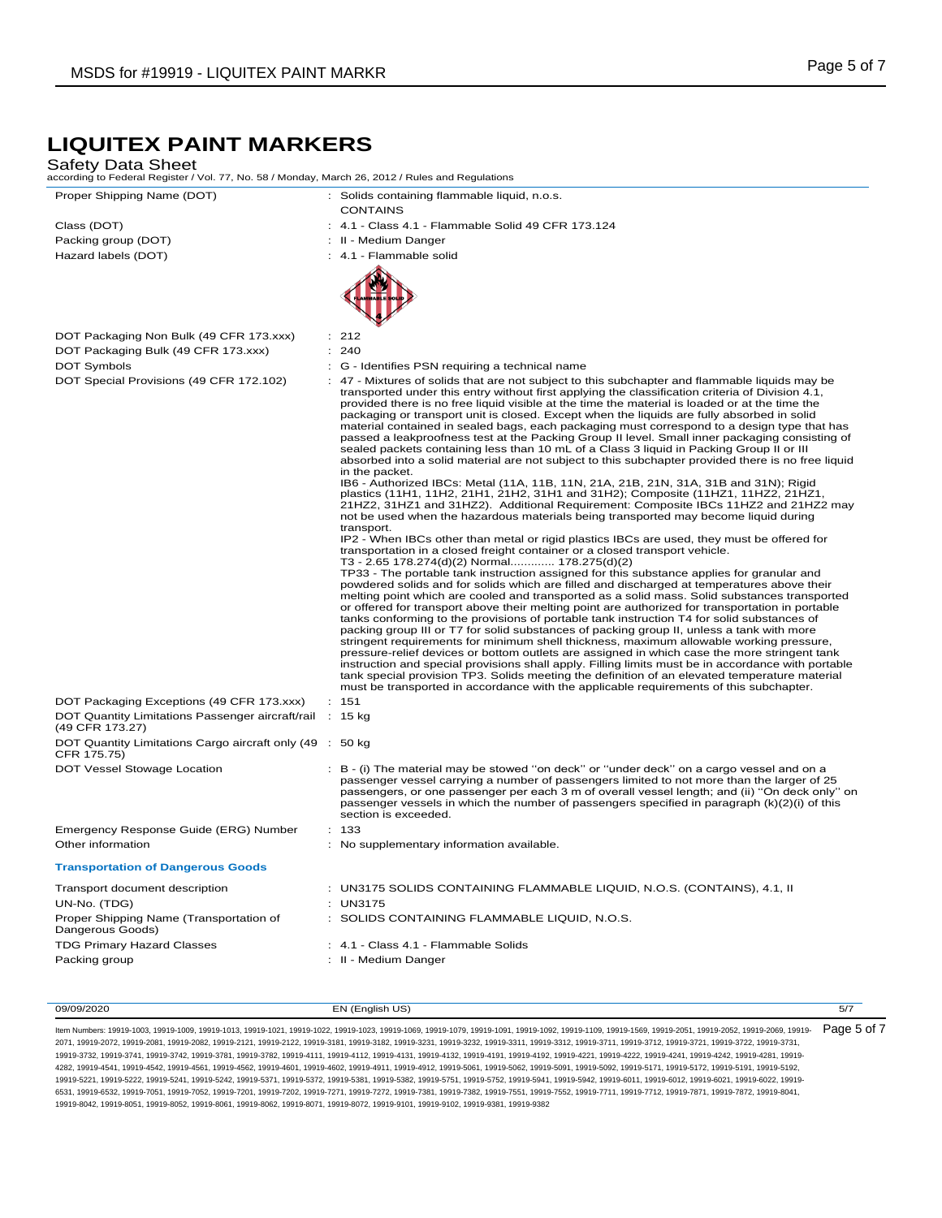#### Safety Data Sheet

according to Federal Register / Vol. 77, No. 58 / Monday, March 26, 2012 / Rules and Regulations

| Class (DOT)         |
|---------------------|
| Packing group (DOT) |
| 11.7.11.1.1.707     |

DOT Packaging Non Bulk (49 CFR 173.xxx) : 212 DOT Packaging Bulk (49 CFR 173.xxx) : 240

Proper Shipping Name (DOT) : Solids containing flammable liquid, n.o.s. **CONTAINS** 

: 4.1 - Class 4.1 - Flammable Solid 49 CFR 173.124

: II - Medium Danger

Hazard labels (DOT)  $\qquad \qquad$  : 4.1 - Flammable solid





- DOT Symbols **DOT** Symbols **COLLECT COLLECT COLLECT COLLECT COLLECT COLLECT COLLECT COLLECT COLLECT COLLECT COLLECT COLLECT COLLECT COLLECT COLLECT COLLECT COLLECT COLLECT COLLECT COLLE**
- DOT Special Provisions (49 CFR 172.102) : 47 Mixtures of solids that are not subject to this subchapter and flammable liquids may be transported under this entry without first applying the classification criteria of Division 4.1, provided there is no free liquid visible at the time the material is loaded or at the time the packaging or transport unit is closed. Except when the liquids are fully absorbed in solid material contained in sealed bags, each packaging must correspond to a design type that has passed a leakproofness test at the Packing Group II level. Small inner packaging consisting of sealed packets containing less than 10 mL of a Class 3 liquid in Packing Group II or III absorbed into a solid material are not subject to this subchapter provided there is no free liquid in the packet.

IB6 - Authorized IBCs: Metal (11A, 11B, 11N, 21A, 21B, 21N, 31A, 31B and 31N); Rigid plastics (11H1, 11H2, 21H1, 21H2, 31H1 and 31H2); Composite (11HZ1, 11HZ2, 21HZ1,<br>21HZ2, 31HZ1 and 31HZ2). Additional Requirement: Composite IBCs 11HZ2 and 21HZ2 may not be used when the hazardous materials being transported may become liquid during transport.

IP2 - When IBCs other than metal or rigid plastics IBCs are used, they must be offered for transportation in a closed freight container or a closed transport vehicle.

T3 - 2.65 178.274(d)(2) Normal............. 178.275(d)(2) TP33 - The portable tank instruction assigned for this substance applies for granular and powdered solids and for solids which are filled and discharged at temperatures above their melting point which are cooled and transported as a solid mass. Solid substances transported or offered for transport above their melting point are authorized for transportation in portable tanks conforming to the provisions of portable tank instruction T4 for solid substances of packing group III or T7 for solid substances of packing group II, unless a tank with more stringent requirements for minimum shell thickness, maximum allowable working pressure, pressure-relief devices or bottom outlets are assigned in which case the more stringent tank instruction and special provisions shall apply. Filling limits must be in accordance with portable tank special provision TP3. Solids meeting the definition of an elevated temperature material must be transported in accordance with the applicable requirements of this subchapter.

passenger vessel carrying a number of passengers limited to not more than the larger of 25 passengers, or one passenger per each 3 m of overall vessel length; and (ii) ''On deck only'' on passenger vessels in which the number of passengers specified in paragraph (k)(2)(i) of this

| DOT Packaging Exceptions (49 CFR 173.xxx)                                   | : 151 |
|-----------------------------------------------------------------------------|-------|
| DOT Quantity Limitations Passenger aircraft/rail : 15 kg<br>(49 CFR 173.27) |       |
| DOT Quantity Limitations Cargo aircraft only (49 : 50 kg)<br>CFR 175.75)    |       |

DOT Vessel Stowage Location : B - (i) The material may be stowed "on deck" or "under deck" on a cargo vessel and on a

# Emergency Response Guide (ERG) Number : 133

#### Other information **intervalse in the contract of the supplementary information available. Transportation of Dangerous Goods** Transport document description : UN3175 SOLIDS CONTAINING FLAMMABLE LIQUID, N.O.S. (CONTAINS), 4.1, II UN-No. (TDG) : UN3175 Proper Shipping Name (Transportation of Dangerous Goods) : SOLIDS CONTAINING FLAMMABLE LIQUID, N.O.S.

- TDG Primary Hazard Classes : 4.1 Class 4.1 Flammable Solids
- Packing group **Packing group Packing group 1. II Medium Danger**

section is exceeded.

09/09/2020 EN (English US) 5/7

Item Numbers: 19919-1003, 19919-1009, 19919-1013, 19919-1021, 19919-1022, 19919-1023, 19919-1069, 19919-1079, 19919-1091, 19919-1092, 19919-1109, 19919-1569, 19919-2051, 19919-2052, 19919-2069, 19919- 2071, 19919-2072, 19919-2081, 19919-2082, 19919-2121, 19919-2122, 19919-3181, 19919-3182, 19919-3231, 19919-3232, 19919-3311, 19919-3312, 19919-3711, 19919-3712, 19919-3721, 19919-3722, 19919-3731, 19919-3732, 19919-3741, 19919-3742, 19919-3781, 19919-3782, 19919-4111, 19919-4112, 19919-4131, 19919-4132, 19919-4191, 19919-4192, 19919-4221, 19919-4222, 19919-4241, 19919-4242, 19919-4281, 19919- 4282, 19919-4541, 19919-4542, 19919-4561, 19919-4562, 19919-4601, 19919-4602, 19919-4911, 19919-4912, 19919-5061, 19919-5062, 19919-5091, 19919-5092, 19919-5171, 19919-5172, 19919-5191, 19919-5192, 19919-5221, 19919-5222, 19919-5241, 19919-5242, 19919-5371, 19919-5372, 19919-5381, 19919-5382, 19919-5751, 19919-5752, 19919-5941, 19919-5942, 19919-6011, 19919-6012, 19919-6021, 19919-6022, 19919- 6531, 19919-6532, 19919-7051, 19919-7052, 19919-7201, 19919-7202, 19919-7271, 19919-7272, 19919-7381, 19919-7382, 19919-7551, 19919-7552, 19919-7711, 19919-7712, 19919-7871, 19919-7872, 19919-8041, 19919-8042, 19919-8051, 19919-8052, 19919-8061, 19919-8062, 19919-8071, 19919-8072, 19919-9101, 19919-9102, 19919-9381, 19919-9382 Page 5 of 7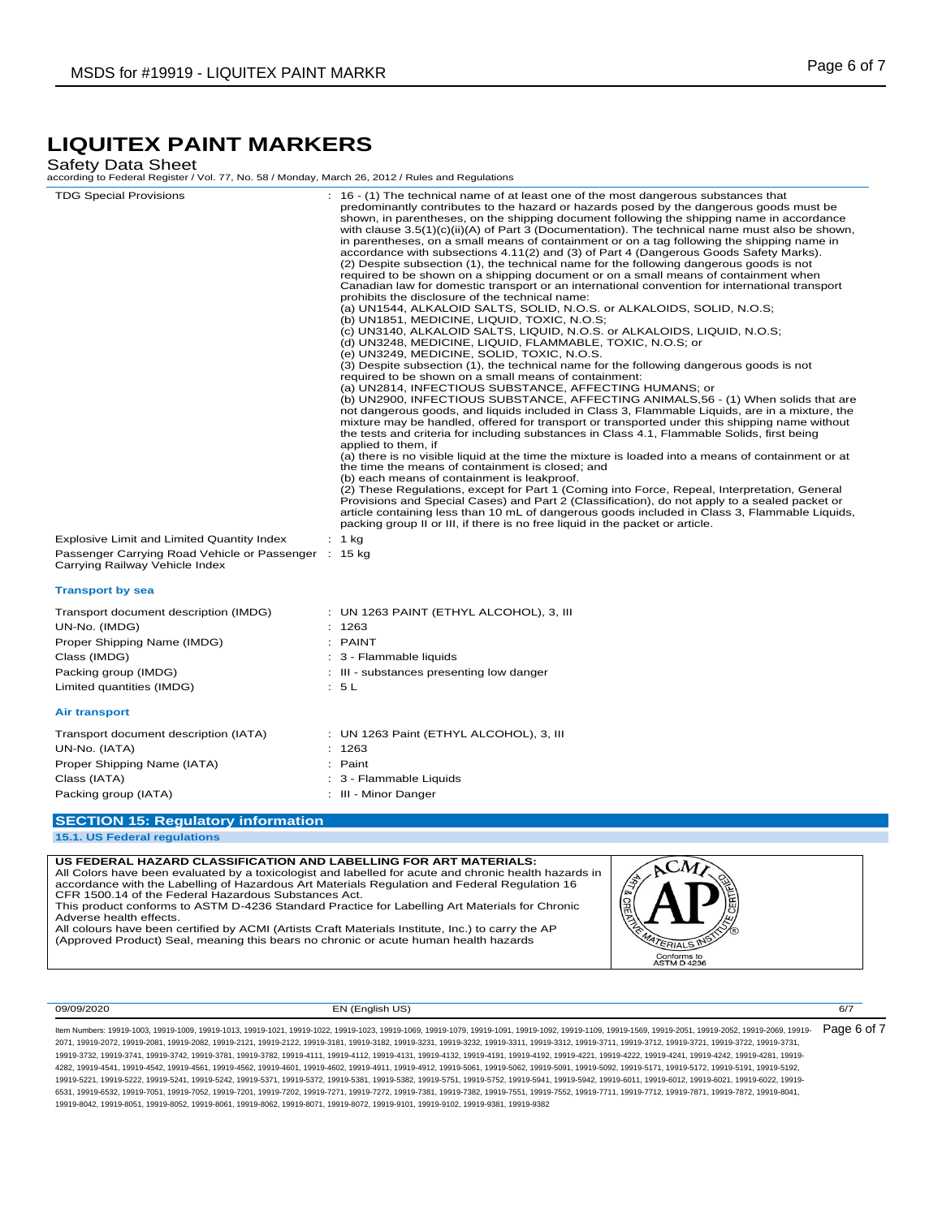## Safety Data Sheet

according to Federal Register / Vol. 77, No. 58 / Monday, March 26, 2012 / Rules and Regulations

| <b>TDG Special Provisions</b>                                                          | : 16 - (1) The technical name of at least one of the most dangerous substances that<br>predominantly contributes to the hazard or hazards posed by the dangerous goods must be<br>shown, in parentheses, on the shipping document following the shipping name in accordance<br>with clause $3.5(1)(c)(ii)(A)$ of Part 3 (Documentation). The technical name must also be shown,<br>in parentheses, on a small means of containment or on a tag following the shipping name in<br>accordance with subsections 4.11(2) and (3) of Part 4 (Dangerous Goods Safety Marks).<br>(2) Despite subsection (1), the technical name for the following dangerous goods is not<br>required to be shown on a shipping document or on a small means of containment when<br>Canadian law for domestic transport or an international convention for international transport<br>prohibits the disclosure of the technical name:<br>(a) UN1544, ALKALOID SALTS, SOLID, N.O.S. or ALKALOIDS, SOLID, N.O.S;<br>(b) UN1851, MEDICINE, LIQUID, TOXIC, N.O.S;<br>(c) UN3140, ALKALOID SALTS, LIQUID, N.O.S. or ALKALOIDS, LIQUID, N.O.S;<br>(d) UN3248, MEDICINE, LIQUID, FLAMMABLE, TOXIC, N.O.S; or<br>(e) UN3249, MEDICINE, SOLID, TOXIC, N.O.S.<br>(3) Despite subsection (1), the technical name for the following dangerous goods is not<br>required to be shown on a small means of containment:<br>(a) UN2814, INFECTIOUS SUBSTANCE, AFFECTING HUMANS; or<br>(b) UN2900, INFECTIOUS SUBSTANCE, AFFECTING ANIMALS,56 - (1) When solids that are<br>not dangerous goods, and liquids included in Class 3, Flammable Liquids, are in a mixture, the<br>mixture may be handled, offered for transport or transported under this shipping name without<br>the tests and criteria for including substances in Class 4.1, Flammable Solids, first being<br>applied to them, if<br>(a) there is no visible liquid at the time the mixture is loaded into a means of containment or at<br>the time the means of containment is closed; and<br>(b) each means of containment is leakproof.<br>(2) These Regulations, except for Part 1 (Coming into Force, Repeal, Interpretation, General<br>Provisions and Special Cases) and Part 2 (Classification), do not apply to a sealed packet or<br>article containing less than 10 mL of dangerous goods included in Class 3, Flammable Liquids,<br>packing group II or III, if there is no free liquid in the packet or article. |
|----------------------------------------------------------------------------------------|-----------------------------------------------------------------------------------------------------------------------------------------------------------------------------------------------------------------------------------------------------------------------------------------------------------------------------------------------------------------------------------------------------------------------------------------------------------------------------------------------------------------------------------------------------------------------------------------------------------------------------------------------------------------------------------------------------------------------------------------------------------------------------------------------------------------------------------------------------------------------------------------------------------------------------------------------------------------------------------------------------------------------------------------------------------------------------------------------------------------------------------------------------------------------------------------------------------------------------------------------------------------------------------------------------------------------------------------------------------------------------------------------------------------------------------------------------------------------------------------------------------------------------------------------------------------------------------------------------------------------------------------------------------------------------------------------------------------------------------------------------------------------------------------------------------------------------------------------------------------------------------------------------------------------------------------------------------------------------------------------------------------------------------------------------------------------------------------------------------------------------------------------------------------------------------------------------------------------------------------------------------------------------------------------------------------------------------------------------------------------------------------------------------------------------------------------------|
| Explosive Limit and Limited Quantity Index                                             | $: 1$ kg                                                                                                                                                                                                                                                                                                                                                                                                                                                                                                                                                                                                                                                                                                                                                                                                                                                                                                                                                                                                                                                                                                                                                                                                                                                                                                                                                                                                                                                                                                                                                                                                                                                                                                                                                                                                                                                                                                                                                                                                                                                                                                                                                                                                                                                                                                                                                                                                                                            |
| Passenger Carrying Road Vehicle or Passenger : 15 kg<br>Carrying Railway Vehicle Index |                                                                                                                                                                                                                                                                                                                                                                                                                                                                                                                                                                                                                                                                                                                                                                                                                                                                                                                                                                                                                                                                                                                                                                                                                                                                                                                                                                                                                                                                                                                                                                                                                                                                                                                                                                                                                                                                                                                                                                                                                                                                                                                                                                                                                                                                                                                                                                                                                                                     |
| <b>Transport by sea</b>                                                                |                                                                                                                                                                                                                                                                                                                                                                                                                                                                                                                                                                                                                                                                                                                                                                                                                                                                                                                                                                                                                                                                                                                                                                                                                                                                                                                                                                                                                                                                                                                                                                                                                                                                                                                                                                                                                                                                                                                                                                                                                                                                                                                                                                                                                                                                                                                                                                                                                                                     |
| Transport document description (IMDG)                                                  | : UN 1263 PAINT (ETHYL ALCOHOL), 3, III                                                                                                                                                                                                                                                                                                                                                                                                                                                                                                                                                                                                                                                                                                                                                                                                                                                                                                                                                                                                                                                                                                                                                                                                                                                                                                                                                                                                                                                                                                                                                                                                                                                                                                                                                                                                                                                                                                                                                                                                                                                                                                                                                                                                                                                                                                                                                                                                             |
| UN-No. (IMDG)                                                                          | : 1263                                                                                                                                                                                                                                                                                                                                                                                                                                                                                                                                                                                                                                                                                                                                                                                                                                                                                                                                                                                                                                                                                                                                                                                                                                                                                                                                                                                                                                                                                                                                                                                                                                                                                                                                                                                                                                                                                                                                                                                                                                                                                                                                                                                                                                                                                                                                                                                                                                              |
| Proper Shipping Name (IMDG)                                                            | : PAINT                                                                                                                                                                                                                                                                                                                                                                                                                                                                                                                                                                                                                                                                                                                                                                                                                                                                                                                                                                                                                                                                                                                                                                                                                                                                                                                                                                                                                                                                                                                                                                                                                                                                                                                                                                                                                                                                                                                                                                                                                                                                                                                                                                                                                                                                                                                                                                                                                                             |
| Class (IMDG)                                                                           | : 3 - Flammable liquids                                                                                                                                                                                                                                                                                                                                                                                                                                                                                                                                                                                                                                                                                                                                                                                                                                                                                                                                                                                                                                                                                                                                                                                                                                                                                                                                                                                                                                                                                                                                                                                                                                                                                                                                                                                                                                                                                                                                                                                                                                                                                                                                                                                                                                                                                                                                                                                                                             |
| Packing group (IMDG)                                                                   | : III - substances presenting low danger                                                                                                                                                                                                                                                                                                                                                                                                                                                                                                                                                                                                                                                                                                                                                                                                                                                                                                                                                                                                                                                                                                                                                                                                                                                                                                                                                                                                                                                                                                                                                                                                                                                                                                                                                                                                                                                                                                                                                                                                                                                                                                                                                                                                                                                                                                                                                                                                            |
| Limited quantities (IMDG)                                                              | : 5L                                                                                                                                                                                                                                                                                                                                                                                                                                                                                                                                                                                                                                                                                                                                                                                                                                                                                                                                                                                                                                                                                                                                                                                                                                                                                                                                                                                                                                                                                                                                                                                                                                                                                                                                                                                                                                                                                                                                                                                                                                                                                                                                                                                                                                                                                                                                                                                                                                                |
| <b>Air transport</b>                                                                   |                                                                                                                                                                                                                                                                                                                                                                                                                                                                                                                                                                                                                                                                                                                                                                                                                                                                                                                                                                                                                                                                                                                                                                                                                                                                                                                                                                                                                                                                                                                                                                                                                                                                                                                                                                                                                                                                                                                                                                                                                                                                                                                                                                                                                                                                                                                                                                                                                                                     |
| Transport document description (IATA)                                                  | : UN 1263 Paint (ETHYL ALCOHOL), 3, III                                                                                                                                                                                                                                                                                                                                                                                                                                                                                                                                                                                                                                                                                                                                                                                                                                                                                                                                                                                                                                                                                                                                                                                                                                                                                                                                                                                                                                                                                                                                                                                                                                                                                                                                                                                                                                                                                                                                                                                                                                                                                                                                                                                                                                                                                                                                                                                                             |
| UN-No. (IATA)                                                                          | 1263                                                                                                                                                                                                                                                                                                                                                                                                                                                                                                                                                                                                                                                                                                                                                                                                                                                                                                                                                                                                                                                                                                                                                                                                                                                                                                                                                                                                                                                                                                                                                                                                                                                                                                                                                                                                                                                                                                                                                                                                                                                                                                                                                                                                                                                                                                                                                                                                                                                |
| Proper Shipping Name (IATA)                                                            | : Paint                                                                                                                                                                                                                                                                                                                                                                                                                                                                                                                                                                                                                                                                                                                                                                                                                                                                                                                                                                                                                                                                                                                                                                                                                                                                                                                                                                                                                                                                                                                                                                                                                                                                                                                                                                                                                                                                                                                                                                                                                                                                                                                                                                                                                                                                                                                                                                                                                                             |
| Class (IATA)                                                                           | 3 - Flammable Liquids                                                                                                                                                                                                                                                                                                                                                                                                                                                                                                                                                                                                                                                                                                                                                                                                                                                                                                                                                                                                                                                                                                                                                                                                                                                                                                                                                                                                                                                                                                                                                                                                                                                                                                                                                                                                                                                                                                                                                                                                                                                                                                                                                                                                                                                                                                                                                                                                                               |
| Packing group (IATA)                                                                   | : III - Minor Danger                                                                                                                                                                                                                                                                                                                                                                                                                                                                                                                                                                                                                                                                                                                                                                                                                                                                                                                                                                                                                                                                                                                                                                                                                                                                                                                                                                                                                                                                                                                                                                                                                                                                                                                                                                                                                                                                                                                                                                                                                                                                                                                                                                                                                                                                                                                                                                                                                                |
| <b>SECTION 15: Regulatory information</b>                                              |                                                                                                                                                                                                                                                                                                                                                                                                                                                                                                                                                                                                                                                                                                                                                                                                                                                                                                                                                                                                                                                                                                                                                                                                                                                                                                                                                                                                                                                                                                                                                                                                                                                                                                                                                                                                                                                                                                                                                                                                                                                                                                                                                                                                                                                                                                                                                                                                                                                     |
|                                                                                        |                                                                                                                                                                                                                                                                                                                                                                                                                                                                                                                                                                                                                                                                                                                                                                                                                                                                                                                                                                                                                                                                                                                                                                                                                                                                                                                                                                                                                                                                                                                                                                                                                                                                                                                                                                                                                                                                                                                                                                                                                                                                                                                                                                                                                                                                                                                                                                                                                                                     |

**15.1. US Federal regulations**

**US FEDERAL HAZARD CLASSIFICATION AND LABELLING FOR ART MATERIALS:**  All Colors have been evaluated by a toxicologist and labelled for acute and chronic health hazards in accordance with the Labelling of Hazardous Art Materials Regulation and Federal Regulation 16 CFR 1500.14 of the Federal Hazardous Substances Act. This product conforms to ASTM D-4236 Standard Practice for Labelling Art Materials for Chronic

Adverse health effects. All colours have been certified by ACMI (Artists Craft Materials Institute, Inc.) to carry the AP

(Approved Product) Seal, meaning this bears no chronic or acute human health hazards



09/09/2020 EN (English US) 6/7

TERIALS IN Conforms to<br>ASTM D 4236

Item Numbers: 19919-1003, 19919-1009, 19919-1013, 19919-1021, 19919-1022, 19919-1023, 19919-1069, 19919-1079, 19919-1091, 19919-1092, 19919-1109, 19919-1569, 19919-2051, 19919-2052, 19919-2069, 19919- 2071, 19919-2072, 19919-2081, 19919-2082, 19919-2121, 19919-2122, 19919-3181, 19919-3182, 19919-3231, 19919-3232, 19919-3311, 19919-3312, 19919-3711, 19919-3712, 19919-3721, 19919-3722, 19919-3731, 19919-3732, 19919-3741, 19919-3742, 19919-3781, 19919-3782, 19919-4111, 19919-4112, 19919-4131, 19919-4132, 19919-4191, 19919-4192, 19919-4221, 19919-4222, 19919-4241, 19919-4242, 19919-4281, 19919- 4282, 19919-4541, 19919-4542, 19919-4561, 19919-4562, 19919-4601, 19919-4602, 19919-4911, 19919-4912, 19919-5061, 19919-5062, 19919-5091, 19919-5092, 19919-5171, 19919-5172, 19919-5191, 19919-5192, 19919-5221, 19919-5222, 19919-5241, 19919-5242, 19919-5371, 19919-5372, 19919-5381, 19919-5382, 19919-5751, 19919-5752, 19919-5941, 19919-5942, 19919-6011, 19919-6012, 19919-6021, 19919-6022, 19919- 6531, 19919-6532, 19919-7051, 19919-7052, 19919-7201, 19919-7202, 19919-7271, 19919-7272, 19919-7381, 19919-7382, 19919-7551, 19919-7552, 19919-7711, 19919-7712, 19919-7871, 19919-7872, 19919-8041, 19919-8042, 19919-8051, 19919-8052, 19919-8061, 19919-8062, 19919-8071, 19919-8072, 19919-9101, 19919-9102, 19919-9381, 19919-9382 Page 6 of 7